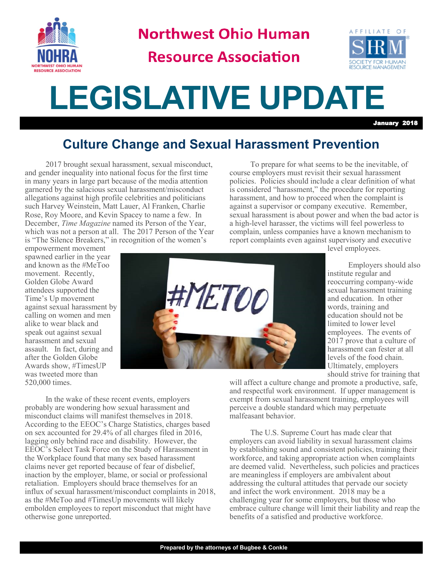

**Northwest Ohio Human** 

## **Resource Association**



## **LEGISLATIVE UPDATE**

January 2018

## **Culture Change and Sexual Harassment Prevention**

2017 brought sexual harassment, sexual misconduct, and gender inequality into national focus for the first time in many years in large part because of the media attention garnered by the salacious sexual harassment/misconduct allegations against high profile celebrities and politicians such Harvey Weinstein, Matt Lauer, Al Franken, Charlie Rose, Roy Moore, and Kevin Spacey to name a few. In December, *Time Magazine* named its Person of the Year, which was not a person at all. The 2017 Person of the Year is "The Silence Breakers," in recognition of the women's

To prepare for what seems to be the inevitable, of course employers must revisit their sexual harassment policies. Policies should include a clear definition of what is considered "harassment," the procedure for reporting harassment, and how to proceed when the complaint is against a supervisor or company executive. Remember, sexual harassment is about power and when the bad actor is a high-level harasser, the victims will feel powerless to complain, unless companies have a known mechanism to report complaints even against supervisory and executive

empowerment movement spawned earlier in the year and known as the #MeToo movement. Recently, Golden Globe Award attendees supported the Time's Up movement against sexual harassment by calling on women and men alike to wear black and speak out against sexual harassment and sexual assault. In fact, during and after the Golden Globe Awards show, #TimesUP was tweeted more than 520,000 times.



level employees.

Employers should also institute regular and reoccurring company-wide sexual harassment training and education. In other words, training and education should not be limited to lower level employees. The events of 2017 prove that a culture of harassment can fester at all levels of the food chain. Ultimately, employers should strive for training that

will affect a culture change and promote a productive, safe, and respectful work environment. If upper management is exempt from sexual harassment training, employees will perceive a double standard which may perpetuate malfeasant behavior.

The U.S. Supreme Court has made clear that employers can avoid liability in sexual harassment claims by establishing sound and consistent policies, training their workforce, and taking appropriate action when complaints are deemed valid. Nevertheless, such policies and practices are meaningless if employers are ambivalent about addressing the cultural attitudes that pervade our society and infect the work environment. 2018 may be a challenging year for some employers, but those who embrace culture change will limit their liability and reap the benefits of a satisfied and productive workforce.

In the wake of these recent events, employers probably are wondering how sexual harassment and misconduct claims will manifest themselves in 2018. According to the EEOC's Charge Statistics, charges based on sex accounted for 29.4% of all charges filed in 2016, lagging only behind race and disability. However, the EEOC's Select Task Force on the Study of Harassment in the Workplace found that many sex based harassment claims never get reported because of fear of disbelief, inaction by the employer, blame, or social or professional retaliation. Employers should brace themselves for an influx of sexual harassment/misconduct complaints in 2018, as the #MeToo and #TimesUp movements will likely embolden employees to report misconduct that might have otherwise gone unreported.